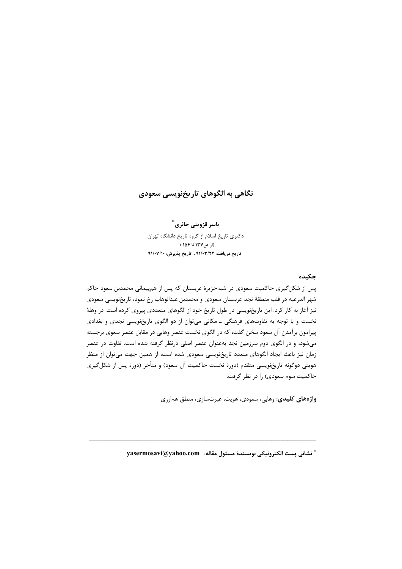## نگاهی به الگوهای تاریخنویسی سعودی

ياسر قزوينى حائرى ؓ دکتری تاریخ اسلام از گروه تاریخ دانشگاه تهران (از ص١٣٧ تا ١۵۶) تاريخ دريافت: ٩١/٠٣/٢٢ ، تاريخ پذيرش: ٩١/٠٧/١٠

### چکىدە

پس از شکل گیری حاکمیت سعودی در شبهجزیرهٔ عربستان که پس از همپیمانی محمدبن سعود حاکم شهر الدرعيه در قلب منطقهٔ نجد عربستان سعودي و محمدبن عبدالوهاب رخ نمود، تاريخنويسي سعودي نیز آغاز به کار کرد. این تاریخنویسی در طول تاریخ خود از الگوهای متعددی پیروی کرده است. در وهلهٔ نخست و با توجه به تفاوتهای فرهنگی ـ مکانی می توان از دو الگوی تاریخنویسی نجدی و بغدادی پیرامون برآمدن آل سعود سخن گفت، که در الگوی نخست عنصر وهابی در مقابل عنصر سعوی برجسته میشود، و در الگوی دوم سرزمین نجد بهعنوان عنصر اصلی درنظر گرفته شده است. تفاوت در عنصر زمان نیز باعث ایجاد الگوهای متعدد تاریخنویسی سعودی شده است، از همین جهت میتوان از منظر هويتي دوگونه تاريخنويسي متقدم (دورهٔ نخست حاکميت آل سعود) و متأخر (دورهٔ پس از شکل¢یری حاکمیت سوم سعودی) را در نظر گرفت.

واژههای کلیدی: وهابی، سعودی، هویت، غیرتسازی، منطق همارزی

\* نشاني يست الكترونيكي نويسندة مسئول مقاله: vasermosavi@yahoo.com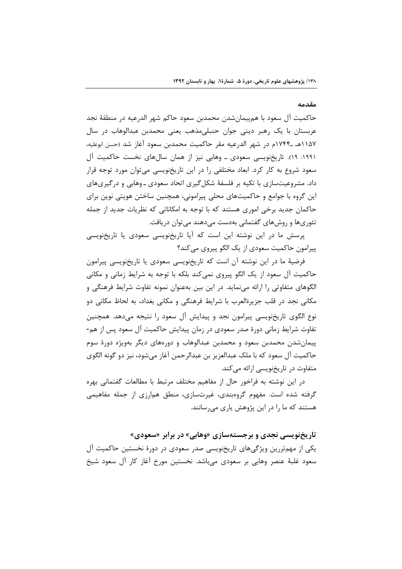#### مقدمه

حاكميت آل سعود با هم پيمانشدن محمدبن سعود حاكم شهر الدرعيه در منطقهٔ نجد عربستان با یک رهبر دینی جوان حنبلیمذهب یعنی محمدبن عبدالوهاب در سال ١١۵٧هـ ١٧۴۴م در شهر الدرعيه مقر حاكميت محمدبن سعود آغاز شد (حسن ابوعليه، ۱۹۹۱: ۱۹). تاریخنویسی سعودی ــ وهابی نیز از همان سالهای نخست حاکمیت آل سعود شروع به کار کرد. ابعاد مختلفی را در این تاریخنویسی میتوان مورد توجه قرار داد. مشروعیتسازی با تکیه بر فلسفهٔ شکل گیری اتحاد سعودی ـ وهابی و در گیریهای این گروه با جوامع و حاکمیتهای محلی پیرامونی، همچنین ساختن هویتی نوین برای حاکمان جدید برخی اموری هستند که با توجه به امکاناتی که نظریات جدید از جمله تئوریها و روشهای گفتمانی بهدست میدهند میتوان دریافت.

پرسش ما در این نوشته این است که آیا تاریخنویسی سعودی یا تاریخنویسی پيرامون حاكميت سعودي از يک الگو پيروي مي كند؟

فرضیهٔ ما در این نوشته آن است که تاریخنویسی سعودی یا تاریخنویسی پیرامون حاکمیت آل سعود از یک الگو پیروی نمی کند بلکه با توجه به شرایط زمانی و مکانی الگوهای متفاوتی را ارائه می نماید. در این بین بهعنوان نمونه تفاوت شرایط فرهنگی و مکانی نجد در قلب جزیرةالعرب با شرایط فرهنگی و مکانی بغداد، به لحاظ مکانی دو نوع الگوی تاریخنویسی پیرامون نجد و پیدایش آل سعود را نتیجه می۵هد. همچنین تفاوت شرایط زمانی دورهٔ صدر سعودی در زمان پیدایش حاکمیت آل سعود پس از هم-پیمان شدن محمدبن سعود و محمدبن عبدالوهاب و دورههای دیگر بهویژه دورهٔ سوم حاكميت آل سعود كه با ملك عبدالعزيز بن عبدالرحمن آغاز مىشود، نيز دو گونه الگوى متفاوت در تاریخنویسی ارائه میکند.

در این نوشته به فراخور حال از مفاهیم مختلف مرتبط با مطالعات گفتمانی بهره گرفته شده است. مفهوم گروهبندی، غیرتسازی، منطق همارزی از جمله مفاهیمی هستند که ما را در این پژوهش پاری می رسانند.

تاریخنویسی نجدی و برجستهسازی «وهابی» در برابر «سعودی» یکی از مهمتررین ویژگیهای تاریخنویسی صدر سعودی در دورهٔ نخستین حاکمیت آل سعود غلبهٔ عنصر وهابی بر سعودی می باشد. نخستین مورخ آغاز کار آل سعود شیخ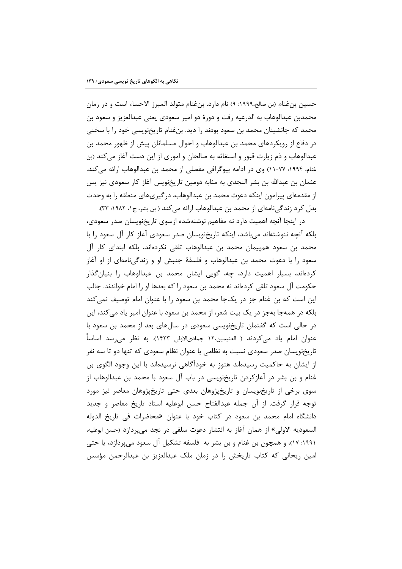حسين بنِ غنام (بن صالح،١٩٩٩: ٩) نام دارد. بنِ غنام متولد المبرز الاحساء است و در زمان محمدبن عبدالوهاب به الدرعيه رفت و دورهٔ دو امير سعودي يعني عبدالعزيز و سعود بن محمد که جانشینان محمد بن سعود بودند را دید. بنغنام تاریخنویسی خود را با سخنی در دفاع از رویکردهای محمد بن عبدالوهاب و احوال مسلمانان پیش از ظهور محمد بن عبدالوهاب و ذم زیارت قبور و استغاثه به صالحان و اموری از این دست آغاز می کند (بن غنام، ۱۹۹۴: ۷۷-۱۱) وي در ادامه بيوگرافي مفصلي از محمد بن عبدالوهاب ارائه مي كند. عثمان بن عبدالله بن بشر النجدي به مثابه دومين تاريخنويس آغاز كار سعودي نيز پس از مقدمهای پیرامون اینکه دعوت محمد بن عبدالوهاب، در گیریهای منطقه را به وحدت بدل کرد زندگینامهای از محمد بن عبدالوهاب ارائه می کند ( بن بشر، ج۱، ۱۹۸۲: ۳۳).

در اینجا آنچه اهمیت دارد نه مفاهیم نوشتهشده ازسوی تاریخنویسان صدر سعودی، بلکه آنچه ننوشتهاند میباشد، اینکه تاریخنویسان صدر سعودی آغاز کار آل سعود را با محمد بن سعود همییمان محمد بن عبدالوهاب تلقی نکردهاند، بلکه ابتدای کار آل سعود را با دعوت محمد بن عبدالوهاب و فلسفهٔ جنبش او و زندگی،نامهای از او آغاز کردهاند، بسیار اهمیت دارد، چه، گویی ایشان محمد بن عبدالوهاب را بنیان گذار حکومت آل سعود تلقی کردهاند نه محمد بن سعود را که بعدها او را امام خواندند. جالب این است که بن غنام جز در یکجا محمد بن سعود را با عنوان امام توصیف نمی کند بلکه در همهجا بهجز در یک بیت شعر، از محمد بن سعود با عنوان امیر یاد می کند، این در حالی است که گفتمان تاریخنویسی سعودی در سالهای بعد از محمد بن سعود با عنوان امام یاد میکردند ( العثیمین،١٢ جمادیالاولی ١۴٢٣). به نظر می رسد اساساً تاریخنویسان صدر سعودی نسبت به نظامی با عنوان نظام سعودی که تنها دو تا سه نفر از ایشان به حاکمیت رسیدهاند هنوز به خوداگاهی نرسیدهاند با این وجود الگوی بن غنام و بن بشر در آغازکردن تاریخِنویسی در باب آل سعود با محمد بن عبدالوهاب از سوی برخی از تاریخنویسان و تاریخپژوهان بعدی حتی تاریخپژوهان معاصر نیز مورد توجه قرار گرفت. از آن جمله عبدالفتاح حسن ابوعلیه استاد تاریخ معاصر و جدید دانشگاه امام محمد بن سعود در كتاب خود با عنوان «محاضرات في تاريخ الدوله السعوديه الاولى» از همان آغاز به انتشار دعوت سلفى در نجد مى پردازد (حسن ابوعليه، ١٩٩١: ١٧)، و همچون بن غنام و بن بشر به فلسفه تشكيل آل سعود مىپردازد، يا حتى امین ریحانی که کتاب تاریخش را در زمان ملک عبدالعزیز بن عبدالرحمن مؤسس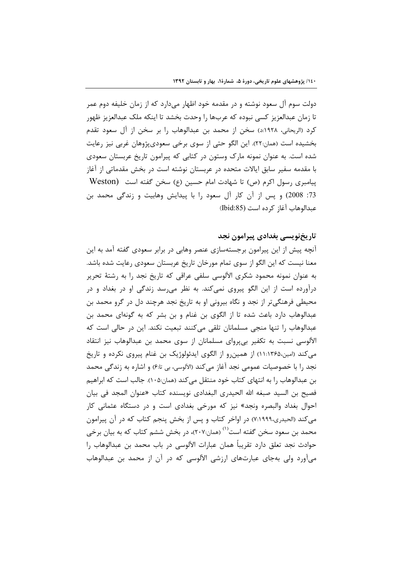دولت سوم آل سعود نوشته و در مقدمه خود اظهار میدارد که از زمان خلیفه دوم عمر تا زمان عبدالعزیز کسی نبوده که عربها را وحدت بخشد تا اینکه ملک عبدالعزیز ظهور كرد (الريحاني، ١٩٢٨:د) سخن از محمد بن عبدالوهاب را بر سخن از آل سعود تقدم بخشیده است (همان:٢٢). این الگو حتی از سوی برخی سعودیپژوهان غربی نیز رعایت شده است. به عنوان نمونه مارک وستون در کتابی که پیرامون تاریخ عربستان سعودی با مقدمه سفیر سابق ایالات متحده در عربستان نوشته است در بخش مقدماتی از آغاز پیامبری رسول اکرم (ص) تا شهادت امام حسین (ع) سخن گفته است (Weston 73: 2008) و پس از آن کار آل سعود را با پیدایش وهابیت و زندگی محمد بن عبدالوهاب آغاز كرده است (Ibid:85)

#### تاریخنویسی بغدادی پیرامون نجد

آنچه پیش از این پیرامون برجستهسازی عنصر وهابی در برابر سعودی گفته آمد به این معنا نیست که این الگو از سوی تمام مورخان تاریخ عربستان سعودی رعایت شده باشد. به عنوان نمونه محمود شکری الآلوسی سلفی عراقی که تاریخ نجد را به رشتهٔ تحریر درآورده است از این الگو پیروی نمیکند. به نظر میرسد زندگی او در بغداد و در محیطی فرهنگی تر از نجد و نگاه بیرونی او به تاریخ نجد هرچند دل در گرو محمد بن عبدالوهاب دارد باعث شده تا از الگوی بن غنام و بن بشر که به گونهای محمد بن عبدالوهاب را تنها منجی مسلمانان تلقی میکنند تبعیت نکند. این در حالی است که الآلوسی نسبت به تکفیر بی پروای مسلمانان از سوی محمد بن عبدالوهاب نیز انتقاد می کند (امین،۱۳۶۵) از همینرو از الگوی ایدئولوژیک بن غنام پیروی نکرده و تاریخ نجد را با خصوصیات عمومی نجد آغاز می کند (الآلوسی، بی تاج) و اشاره به زندگی محمد بن عبدالوهاب را به انتهای کتاب خود منتقل می کند (همان:۱۰۵). جالب است که ابراهیم فصيح بن السيد صبغه الله الحيدري البغدادي نويسنده كتاب «عنوان المجد في بيان احوال بغداد والبصره ونجد» نیز که مورخی بغدادی است و در دستگاه عثمانی کار می کند (الحیدری،۱۹۹۹:۷) در اواخر کتاب و پس از بخش پنجم کتاب که در آن پیرامون محمد بن سعود سخن گفته است<sup>(۱)</sup> (همان:۲۰۷)، در بخش ششم کتاب که به بیان برخی حوادث نجد تعلق دارد تقريباً همان عبارات الآلوسي در باب محمد بن عبدالوهاب را میآورد ولی بهجای عبارتهای ارزشی الآلوسی که در آن از محمد بن عبدالوهاب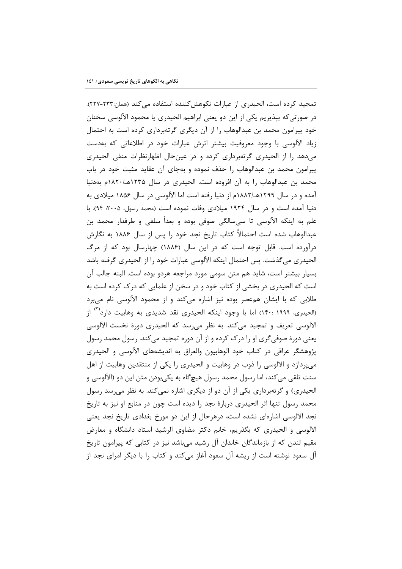تمجید کرده است، الحیدری از عبارات نکوهش کننده استفاده می کند (همان:۲۳۳-۲۲۷). در صورتیکه بپذیریم یکی از این دو یعنی ابراهیم الحیدری یا محمود الآلوسی سخنان خود پیرامون محمد بن عبدالوهاب را از آن دیگری گرتهبرداری کرده است به احتمال زیاد الآلوسی با وجود معروفیت بیشتر اثرش عبارات خود در اطلاعاتی که بهدست می دهد را از الحیدری گرتهبرداری کرده و در عینحال اظهارنظرات منفی الحیدری پیرامون محمد بن عبدالوهاب را حذف نموده و بهجای آن عقاید مثبت خود در باب محمد بن عبدالوهاب را به آن افزوده است. الحیدری در سال ۱۲۳۵هـ/۱۸۲۰م بهدنیا آمده و در سال ۱۲۹۹هـ/۱۸۸۲م از دنیا رفته است اما الآلوسی در سال ۱۸۵۶ میلادی به دنیا آمده است و در سال ۱۹۲۴ میلادی وفات نموده است (محمد رسول، ۲۰۰۵: ۹۴). با علم به اینکه الآلوسی تا سی،سالگی صوفی بوده و بعداً سلفی و طرفدار محمد بن عبدالوهاب شده است احتمالاً كتاب تاريخ نجد خود را پس از سال ۱۸۸۶ به نگارش درآورده است. قابل توجه است که در این سال (۱۸۸۶) چهارسال بود که از مرگ الحيدري مي گذشت. پس احتمال اينكه الآلوسي عبارات خود را از الحيدري گرفته باشد بسيار بيشتر است، شايد هم متن سومي مورد مراجعه هردو بوده است. البته جالب آن است که الحیدری در بخشی از کتاب خود و در سخن از علمایی که درک کرده است به طلابی که با ایشان همعصر بوده نیز اشاره میکند و از محمود الآلوسی نام میبرد (الحیدری، ۱۹۹۹ :۱۴۰) اما با وجود اینکه الحیدری نقد شدیدی به وهابیت دارد<sup>۱٬۱</sup> از الآلوسي تعريف و تمجيد مي كند. به نظر مي رسد كه الحيدري دورة نخست الآلوسي یعنی دورهٔ صوفی گری او را درک کرده و از آن دوره تمجید میکند. رسول محمد رسول پژوهشگر عراقی در کتاب خود الوهابیون والعراق به اندیشههای الآلوسی و الحیدری میپردازد و الالوسی را ذوب در وهابیت و الحیدری را یکی از منتقدین وهابیت از اهل سنت تلقی میکند، اما رسول محمد رسول هیچگاه به یکیبودن متن این دو (الألوسی و الحیدری) و گرتهبرداری یکی از آن دو از دیگری اشاره نمی کند. به نظر می رسد رسول محمد رسول تنها اثر الحیدری دربارهٔ نجد را دیده است چون در منابع او نیز به تاریخ نجد الآلوسی اشارهای نشده است، درهرحال از این دو مورخ بغدادی تاریخ نجد یعنی الآلوسی و الحیدری که بگذریم، خانم دکتر مضاوی الرشید استاد دانشگاه و معارض مقیم لندن که از بازماندگان خاندان آل رشید میباشد نیز در کتابی که پیرامون تاریخ آل سعود نوشته است از ریشه آل سعود آغاز می کند و کتاب را با دیگر امرای نجد از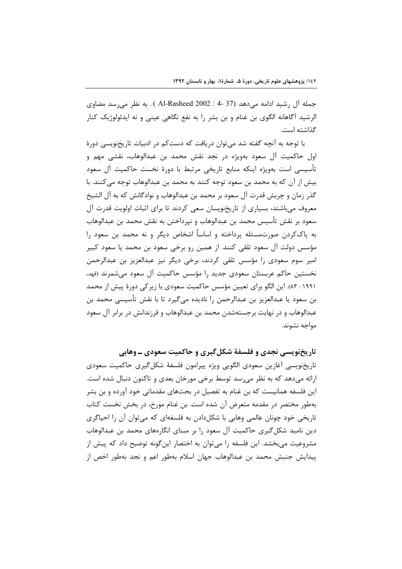جمله آل رشید ادامه میدهد (37 -4 : Al-Rasheed 2002 ). به نظر می رسد مضاوی الرشيد آگاهانه الگوي بن غنام و بن بشر را به نفع نگاهي عيني و نه ايدئولوژيک کنار گذاشته است.

با توجه به آنچه گفته شد می توان دریافت که دستکم در ادبیات تاریخنویسی دورهٔ اول حاکمیت آل سعود بهویژه در نجد نقش محمد بن عبدالوهاب، نقشی مهم و تأسيسي است بەويژه اينكه منابع تاريخي مرتبط با دورهٔ نخست حاكميت آل سعود بيش از آن كه به محمد بن سعود توجه كنند به محمد بن عبدالوهاب توجه مي كنند. با گذر زمان و چربش قدرت آل سعود بر محمد بن عبدالوهاب و نوادگانش که به آل الشیخ معروف می باشند، بسیاری از تاریخنویسان سعی کردند تا برای اثبات اولویت قدرت آل سعود بر نقش تأسيس محمد بن عبدالوهاب و نپرداختن به نقش محمد بن عبدالوهاب به پاککردن صورتمسئله پرداخته و اساساً اشخاص دیگر و نه محمد بن سعود را مؤسس دولت آل سعود تلقى كنند. از همين رو برخى سعود بن محمد يا سعود كبير امیر سوم سعودی را مؤسس تلقی کردند، برخی دیگر نیز عبدالعزیز بن عبدالرحمن نخستین حاکم عربستان سعودی جدید را مؤسس حاکمیت آل سعود میشمرند (فهد، ۱۹۹۱ : ۸۳). این الگو برای تعیین مؤسس حاکمیت سعودی با زیر کی دورهٔ پیش از محمد بن سعود یا عبدالعزیز بن عبدالرحمن را نادیده میگیرد تا با نقش تأسیسی محمد بن عبدالوهاب و در نهایت برجستهشدن محمد بن عبدالوهاب و فرزندانش در برابر آل سعود مواجه نشوند.

تاریخنویسی نجدی و فلسفهٔ شکل گیری و حاکمیت سعودی ــ وهابی

تاريخنويسي آغازين سعودي الگويي ويژه پيرامون فلسفهٔ شکل گيري حاکميت سعودي ارائه میدهد که به نظر میرسد توسط برخی مورخان بعدی و تاکنون دنبال شده است. این فلسفه همانیست که بن غنام به تفصیل در بحثهای مقدماتی خود آورده و بن بشر بهطور مختصر در مقدمه متعرض آن شده است. بن غنام مورخ، در بخش نخست کتاب تاریخی خود چونان عالمی وهابی با شکل دادن به فلسفهای که می توان آن را احیاگری دین نامید شکل گیری حاکمیت آل سعود را بر مبنای انگارههای محمد بن عبدالوهاب مشروعیت می بخشد. این فلسفه را می توان به اختصار این گونه توضیح داد که پیش از پيدايش جنبش محمد بن عبدالوهاب جهان اسلام بهطور اعم و نجد بهطور اخص از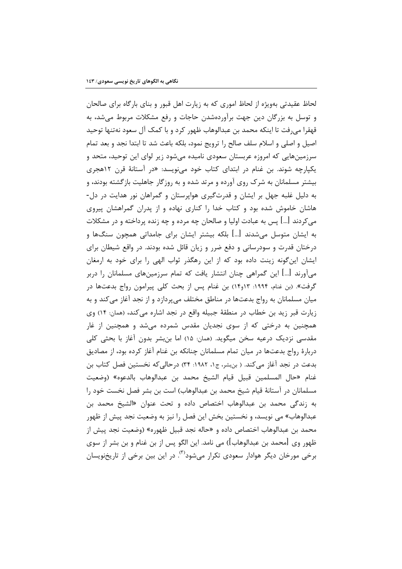لحاظ عقیدتی بهویژه از لحاظ اموری که به زیارت اهل قبور و بنای بارگاه برای صالحان و توسل به بزرگان دین جهت برآوردهشدن حاجات و رفع مشکلات مربوط می شد، به قهقرا می,رفت تا اینکه محمد بن عبدالوهاب ظهور کرد و با کمک آل سعود نهتنها توحید اصیل و اصلی و اسلام سلف صالح را ترویج نمود، بلکه باعث شد تا ابتدا نجد و بعد تمام سرزمینهایی که امروزه عربستان سعودی نامیده می شود زیر لوای این توحید، متحد و یکپارچه شوند. بن غنام در ابتدای کتاب خود مینویسد: «در آستانهٔ قرن ۱۲هجری بیشتر مسلمانان به شرک روی آورده و مرتد شده و به روزگار جاهلیت بازگشته بودند، و به دلیل غلبه جهل بر ایشان و قدرتگیری هواپرستان و گمراهان نور هدایت در دل-هاشان خاموش شده بود و کتاب خدا را کناری نهاده و از پدران گمراهشان پیروی می کردند […] پس به عبادت اولیا و صالحان چه مرده و چه زنده پرداخته و در مشکلات به ایشان متوسل می,شدند […] بلکه بیشتر ایشان برای جامداتی همچون سنگها و درختان قدرت و سودرسانی و دفع ضرر و زبان قائل شده بودند. در واقع شیطان برای ایشان اینگونه زینت داده بود که از این رهگذر ثواب الهی را برای خود به ارمغان میآورند […] این گمراهی چنان انتشار یافت که تمام سرزمینهای مسلمانان را دربر گرفت». (بن غنام، ۱۹۹۴: ۱۴و۱۴) بن غنام پس از بحث کلی پیرامون رواج بدعتها در میان مسلمانان به رواج بدعتها در مناطق مختلف میپردازد و از نجد آغاز میکند و به زيارت قبر زيد بن خطاب در منطقهٔ جبيله واقع در نجد اشاره مي كند، (همان: ١۴) وي همچنین به درختی که از سوی نجدیان مقدس شمرده می شد و همچنین از غار مقدسی نزدیک درعیه سخن میگوید. (همان: ۱۵) اما بن بشر بدون آغاز با بحثی کلی دربارهٔ رواج بدعتها در میان تمام مسلمانان چنانکه بن غنام آغاز کرده بود، از مصادیق بدعت در نجد اغاز میکند. ( بن شر، ج۱، ۱۹۸۲: ۳۴) درحالی که نخستین فصل کتاب بن غنام «حال المسلمين قبيل قيام الشيخ محمد بن عبدالوهاب بالدعوه» (وضعيت مسلمانان در آستانهٔ قیام شیخ محمد بن عبدالوهاب) است بن بشر فصل نخست خود را به زندگی محمد بن عبدالوهاب اختصاص داده و تحت عنوان «الشيخ محمد بن عبدالوهاب» مي نويسد، و نخستين بخش اين فصل را نيز به وضعيت نجد پيش از ظهور محمد بن عبدالوهاب اختصاص داده و «حاله نجد قبيل ظهوره» (وضعيت نجد پيش از ظهور وي [محمد بن عبدالوهاب]) مي نامد. اين الگو پس از بن غنام و بن بشر از سوي برخي مورخان ديگر هوادار سعودي تکرار مي شود<sup>(۳)</sup>. در اين بين برخي از تاريخنويسان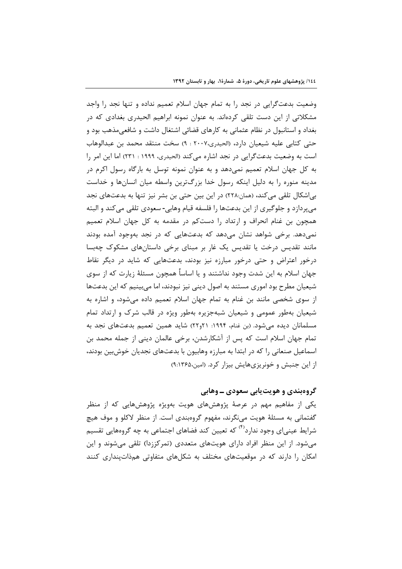وضعیت بدعتگرایی در نجد را به تمام جهان اسلام تعمیم نداده و تنها نجد را واجد مشکلاتی از این دست تلقی کردهاند. به عنوان نمونه ابراهیم الحیدری بغدادی که در بغداد و استانبول در نظام عثمانی به کارهای قضائی اشتغال داشت و شافعی مذهب بود و حتى كتابي عليه شيعيان دارد، (الحيدري،٢٠٠٧ : ٩) سخت منتقد محمد بن عبدالوهاب است به وضعیت بدعت گرایی در نجد اشاره می کند (الحیدری، ۱۹۹۹ : ۲۳۱) اما این امر را به کل جهان اسلام تعمیم نمیدهد و به عنوان نمونه توسل به بارگاه رسول اکرم در مدینه منوره را به دلیل اینکه رسول خدا بزرگترین واسطه میان انسانها و خداست بی|شکال تلقی میکند، (همان:۲۲۸) در این بین حتی بن بشر نیز تنها به بدعتهای نجد می پردازد و جلوگیری از این بدعتها را فلسفه قیام وهابی- سعودی تلقی می کند و البته همچون بن غنام انحراف و ارتداد را دستکم در مقدمه به کل جهان اسلام تعمیم نمے دھد. برخی شواھد نشان مے دھد که بدعتھایے که در نجد بهوجود آمده بودند مانند تقدیس درخت یا تقدیس یک غار بر مبنای برخی داستانهای مشکوک چهبسا درخور اعتراض و حتی درخور مبارزه نیز بودند، بدعتهایی که شاید در دیگر نقاط جهان اسلام به این شدت وجود نداشتند و یا اساساً همچون مسئلهٔ زیارت که از سوی شیعیان مطرح بود اموری مستند به اصول دینی نیز نبودند، اما می بینیم که این بدعتها از سوی شخصی مانند بن غنام به تمام جهان اسلام تعمیم داده میشود، و اشاره به شیعیان بهطور عمومی و شیعیان شبهجزیره بهطور ویژه در قالب شرک و ارتداد تمام مسلمانان دیده می شود. (بن غنام، ۱۹۹۴: ۲۱و۲۲) شاید همین تعمیم بدعتهای نجد به تمام جهان اسلام است که پس از آشکارشدن، برخی عالمان دینی از جمله محمد بن اسماعیل صنعانی را که در ابتدا به مبارزه وهابیون با بدعتهای نجدیان خوش بین بودند، از این جنبش و خونریزیهایش بیزار کرد. (امین،۹:۱۳۶۵)

# گروهبندی و هویت بابی سعودی ـ وهابی

یکی از مفاهیم مهم در عرصهٔ پژوهشهای هویت بهویژه پژوهشهایی که از منظر گفتمانی به مسئلهٔ هویت می،نگرند، مفهوم گروهبندی است. از منظر لاکلو و موف هیچ شرایط عینے ای وجود ندارد<sup>(۴)</sup> که تعیین کند فضاهای اجتماعی به چه گروههایی تقسیم می شود. از این منظر افراد دارای هویتهای متعددی (تمرکززدا) تلقی می شوند و این امکان را دارند که در موقعیتهای مختلف به شکلهای متفاوتی همذاتینداری کنند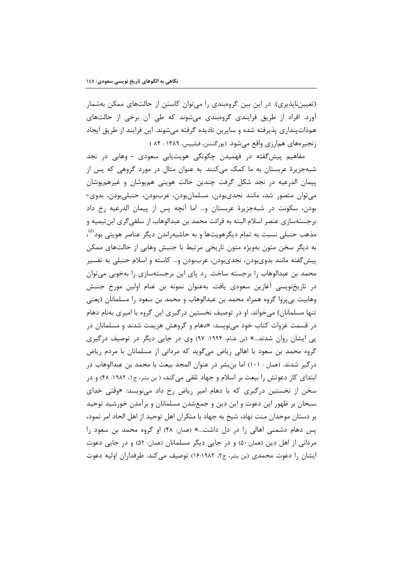(تعیینناپذیری). در این بین گروهبندی را می¤وان کاستن از حالتهای ممکن بهشمار آورد. افراد از طریق فرایندی گروهبندی میشوند که طی آن برخی از حالتهای همذاتپنداری پذیرفته شده و سایرین نادیده گرفته میشوند. این فرایند از طریق ایجاد زنجیرههای همارزی واقع میشود. (پورگنسن، فیلیپس، ۱۳۸۹ : ۸۴ )

مفاهيم پيشگفته در فهميدن چگونگي هويتيابي سعودي - وهابي در نجد شبهجزیرهٔ عربستان به ما کمک میکنند. به عنوان مثال در مورد گروهی که پس از پیمان الدرعیه در نجد شکل گرفت چندین حالت هویتی همپوشان و غیرهمپوشان مى توان متصور شد، مانند نجدىبودن، مسلمانبودن، عرببودن، حنبلىبودن، بدوى-بودن، سكونت در شبهجزيرة عربستان و… اما آنچه پس از پيمان الدرعيه رخ داد برجستهسازی عنصر اسلام البته به قرائت محمد بن عبدالوهاب از سلفی گری ابن تیمیه و مذهب حنبلي نسبت به تمام ديگرهويتها و به حاشيه٫اندن ديگر عناصر هويتي بود<sup>(۵)</sup>، به دیگر سخن متون بهویژه متون تاریخی مرتبط با جنبش وهایی از حالتهای ممکن پیشگفته مانند بدویبودن، نجدیبودن، عرببودن و… کاسته و اسلام حنبلی به تفسیر محمد بن عبدالوهاب را برجسته ساخت. رد پای این برجستهسازی را بهخوبی میتوان در تاريخنويسي آغازين سعودي يافت. بهعنوان نمونه بن غنام اولين مورخ جنبش وهابيت بي پروا گروه همراه محمد بن عبدالوهاب و محمد بن سعود را مسلمانان (يعني تنها مسلمانان) میخواند. او در توصیف نخستین درگیری این گروه با امیری بهنام دهام در قسمت غزوات کتاب خود می;نویسد: «دهام و گروهش هزیمت شدند و مسلمانان در پی ایشان روان شدند…» (بن غنام، ۱۹۹۴: ۹۷) وی در جایی دیگر در توصیف درگیری گروه محمد بن سعود با اهالی ریاض میگوید که مردانی از مسلمانان با مردم ریاض درگیر شدند. (همان : ۱۰۱) اما بنبشر در عنوان المجد بیعت با محمد بن عبدالوهاب در ابتدای کار دعوتش را بیعت بر اسلام و جهاد تلقی میکند، ( بن بشر، ج۱، ۱۹۸۲: ۴۸) و در سخن از نخستین درگیری که با دهام امیر ریاض رخ داد می نویسد: «وقتی خدای سبحان بر ظهور این دعوت و این دین و جمعشدن مسلمانان و برآمدن خورشید توحید بر دستان موحدان منت نهاد، شیخ به جهاد با منکران اهل توحید از اهل الحاد امر نمود، پس دهام دشمنی اهالی را در دل داشت…» (همان: ۴۸) او گروه محمد بن سعود را مردانی از اهل دین (همان:۵۰) و در جایی دیگر مسلمانان (همان: ۵۲) و در جایی دعوت ایشان را دعوت محمدی (بن بشر، ج۲، ۱۶:۱۹۸۲) توصیف می کند. طرفداران اولیه دعوت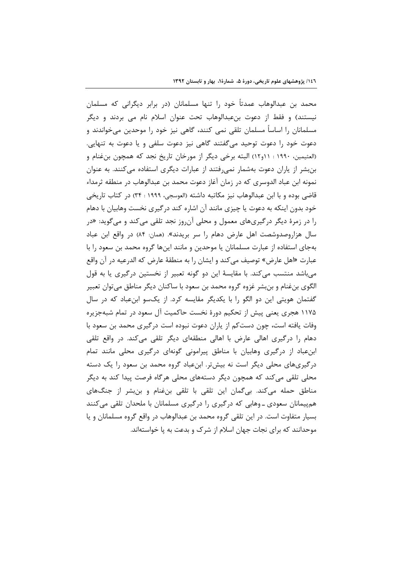محمد بن عبدالوهاب عمدتاً خود را تنها مسلمانان (در برابر دیگرانی که مسلمان نیستند) و فقط از دعوت بنعبدالوهاب تحت عنوان اسلام نام می بردند و دیگر مسلمانان را اساساً مسلمان تلقى نمى كنند، گاهى نيز خود را موحدين مىخواندند و دعوت خود را دعوت توحید میگفتند گاهی نیز دعوت سلفی و یا دعوت به تنهایی. (العثيمين، ١٩٩٠ : ١١و١٢) البته برخي ديگر از مورخان تاريخ نجد كه همچون بن غنام و بن بشر از پاران دعوت بهشمار نمی رفتند از عبارات دیگری استفاده میکنند. به عنوان نمونه ابن عباد الدوسري كه در زمان آغاز دعوت محمد بن عبدالوهاب در منطقه ثرمداء قاضي بوده و با ابن عبدالوهاب نيز مكاتبه داشته (العوسجي، ١٩٩٩ : ٣۴) در كتاب تاريخي خود بدون اینکه به دعوت یا چیزی مانند آن اشاره کند درگیری نخست وهابیان با دهام را در زمرهٔ دیگر درگیریهای معمول و محلی آن٫وز نجد تلقی میکند و میگوید: «در سال هزاروصدوشصت اهل عارض دهام را سر بريدند». (همان: ۸۴) در واقع ابن عباد بهجای استفاده از عبارت مسلمانان یا موحدین و مانند اینها گروه محمد بن سعود را با عبارت «اهل عارض» توصيف مي كند و ايشان را به منطقهٔ عارض كه الدرعيه در آن واقع میباشد منتسب میکند. با مقایسهٔ این دو گونه تعبیر از نخستین درگیری یا به قول الگوی بنِ غنام و بن بشر غزوه گروه محمد بن سعود با ساکنان دیگر مناطق می توان تعبیر گفتمان هویتی این دو الگو را با یکدیگر مقایسه کرد. از یکسو ابنعباد که در سال ۱۱۷۵ هجری یعنی پیش از تحکیم دورهٔ نخست حاکمیت آل سعود در تمام شبهجزیره وفات یافته است، چون دستکم از پاران دعوت نبوده است درگیری محمد بن سعود با دهام را درگیری اهالی عارض با اهالی منطقهای دیگر تلقی می کند. در واقع تلقی ابن عباد از درگیری وهابیان با مناطق پیرامونی گونهای درگیری محلی مانند تمام درگیریهای محلی دیگر است نه بیشتر. ابنِعباد گروه محمد بن سعود را یک دسته محلی تلقی می کند که همچون دیگر دستههای محلی هرگاه فرصت پیدا کند به دیگر مناطق حمله میکند. بی گمان این تلقی با تلقی بنِ غنام و بنِبشر از جنگهای هم پیمانان سعودی ـ وهابی که درگیری را درگیری مسلمانان با ملحدان تلقی میکنند بسیار متفاوت است. در این تلقی گروه محمد بن عبدالوهاب در واقع گروه مسلمانان و یا موحدانند که برای نجات جهان اسلام از شرک و بدعت به یا خواستهاند.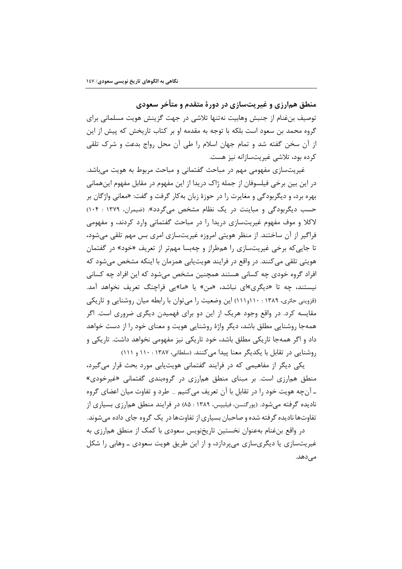منطق همارزی و غیریتسازی در دورهٔ متقدم و متأخر سعودی توصیف بنِ غنام از جنبش وهابیت نهتنها تلاشی در جهت گزینش هویت مسلمانی برای گروه محمد بن سعود است بلکه با توجه به مقدمه او بر کتاب تاریخش که پیش از این از آن سخن گفته شد و تمام جهان اسلام را طی آن محل رواج بدعت و شرک تلقی کرده بود، تلاشی غیریتسازانه نیز هست.

غیریتسازی مفهومی مهم در مباحث گفتمانی و مباحث مربوط به هویت میباشد. در این بین برخی فیلسوفان از جمله ژاک دریدا از این مفهوم در مقابل مفهوم اینهمانی بهره برد، و ديگربودگي و مغايرت را در حوزهٔ زبان بهکار گرفت و گفت: «معاني واژگان بر حسب دیگربودگی و مباینت در یک نظام مشخص می گردد». (ضیمران، ۱۳۷۹ : ۱۰۴) لاکلا و موف مفهوم غیریتسازی دریدا را در مباحث گفتمانی وارد کردند، و مفهومی فراگیر از آن ساختند. از منظر هویتی امروزه غیریتسازی امری بس مهم تلقی میشود، تا جایی که برخی غیریتسازی را همطراز و چهبسا مهمتر از تعریف «خود» در گفتمان هویتی تلقی می کنند. در واقع در فرایند هویتپایی همزمان با اینکه مشخص میشود که افراد گروه خودی چه کسانی هستند همچنین مشخص میشود که این افراد چه کسانی نیستند، چه تا «دیگری»ای نباشد، «من» یا «ما»یی فراچنگ تعریف نخواهد آمد. (قزوینی حائری، ۱۳۸۹ : ۱۱۰و۱۱۱) این وضعیت را می توان با رابطه میان روشنایی و تاریکی مقایسه کرد. در واقع وجود هریک از این دو برای فهمیدن دیگری ضروری است. اگر همهجا روشنایی مطلق باشد، دیگر واژهٔ روشنایی هویت و معنای خود را از دست خواهد داد و اگر همهجا تاریکی مطلق باشد، خود تاریکی نیز مفهومی نخواهد داشت. تاریکی و روشنایی در تقابل با یکدیگر معنا پیدا می کنند. (سلطانی، ۱۳۸۷ : ۱۱۰ و ۱۱۱)

یکی دیگر از مفاهیمی که در فرایند گفتمانی هویت پایی مورد بحث قرار می گیرد، منطق همارزی است. بر مبنای منطق همارزی در گروهبندی گفتمانی «غیرخودی» ـ آنچه هویت خود را در تقابل با آن تعریف می کنیم \_ طرد و تفاوت میان اعضای گروه نادیده گرفته می شود. (پورگنسن، فیلیپس، ۱۳۸۹ : ۸۵) در فرایند منطق همارزی بسیاری از تفاوتها نادیده گرفته شده و صاحبان بسیاری از تفاوتها در یک گروه جای داده می شوند.

در واقع بنغنام بهعنوان نخستین تاریخنویس سعودی با کمک از منطق همارزی به غیریتسازی یا دیگریسازی می پردازد، و از این طریق هویت سعودی ــ وهابی را شکل مے دھد.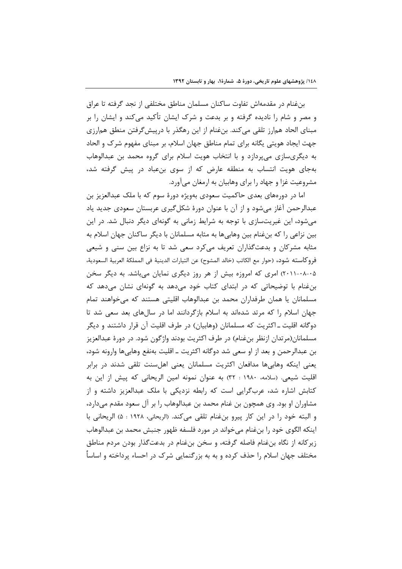بنغنام در مقدمهاش تفاوت ساكنان مسلمان مناطق مختلفي از نجد گرفته تا عراق و مصر و شام را نادیده گرفته و بر بدعت و شرک ایشان تأکید می کند و ایشان را بر مبنای الحاد همارز تلقی میکند. بنِ غنام از این رهگذر با درپیش گرفتن منطق همارزی جهت ایجاد هویتی یگانه برای تمام مناطق جهان اسلام، بر مبنای مفهوم شرک و الحاد به دیگریسازی می پردازد و با انتخاب هویت اسلام برای گروه محمد بن عبدالوهاب بهجای هویت انتساب به منطقه عارض که از سوی بنعباد در پیش گرفته شد، مشروعیت غزا و جهاد را برای وهابیان به ارمغان میآورد.

اما در دورههای بعدی حاکمیت سعودی بهویژه دورهٔ سوم که با ملک عبدالعزیز بن عبدالرحمن آغاز می شود و از آن با عنوان دورهٔ شکل گیری عربستان سعودی جدید یاد میشود، این غیریتسازی با توجه به شرایط زمانی به گونهای دیگر دنبال شد. در این بین نزاعی را که بنغنام بین وهابی ها به مثابه مسلمانان با دیگر ساکنان جهان اسلام به مثابه مشرکان و بدعتگذاران تعریف میکرد سعی شد تا به نزاع بین سنی و شیعی فروكاسته شود، (حوار مع الكاتب (خالد المشوح) عن التيارات الدينية في المملكة العربية السعودية، ۰۵-۲۰۱۱-۰۸) امری که امروزه بیش از هر روز دیگری نمایان میباشد. به دیگر سخن بن غنام با توضیحاتی که در ابتدای کتاب خود می دهد به گونهای نشان می دهد که مسلمانان یا همان طرفداران محمد بن عبدالوهاب اقلیتی هستند که میخواهند تمام جهان اسلام را که مرتد شدهاند به اسلام بازگردانند اما در سالهای بعد سعی شد تا دوگانه اقلیت ـ اکثریت که مسلمانان (وهابیان) در طرف اقلیت آن قرار داشتند و دیگر مسلمانان(مرتدان ازنظر بن غنام) در طرف اکثریت بودند واژگون شود. در دورهٔ عبدالعزیز بن عبدالرحمن و بعد از او سعی شد دوگانه اکثریت ــ اقلیت بهنفع وهابی ها وارونه شود، یعنی اینکه وهابیها مدافعان اکثریت مسلمانان یعنی اهلسنت تلقی شدند در برابر اقلیت شیعی. (سلامه، ۱۹۸۰ : ۳۲) به عنوان نمونه امین الریحانی که پیش از این به کتابش اشاره شد، عربگرایی است که رابطه نزدیکی با ملک عبدالعزیز داشته و از مشاوران او بود. وی همچون بن غنام محمد بن عبدالوهاب را بر آل سعود مقدم میدارد، و البته خود را در اين كار پيرو بن غنام تلقى مى كند. (الريحانى، ١٩٢٨ : ۵) الريحانى با اينكه الگوى خود را بنِ غنام مى خواند در مورد فلسفه ظهور جنبش محمد بن عبدالوهاب زیرکانه از نگاه بنغنام فاصله گرفته، و سخن بنغنام در بدعتگذار بودن مردم مناطق مختلف جهان اسلام را حذف کرده و به به بزرگنمایی شرک در احساء پرداخته و اساساً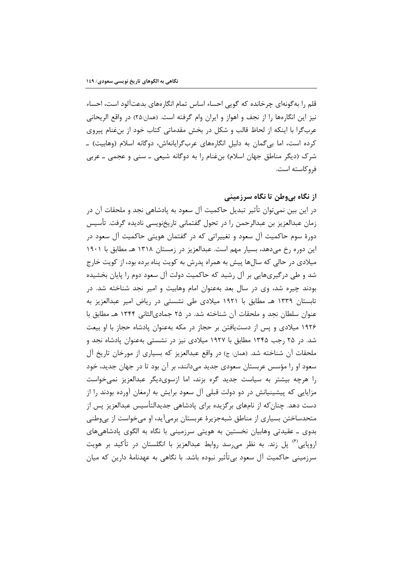قلم را بهگونهای چرخانده که گویی احساء اساس تمام انگارههای بدعتآلود است، احساء نیز این انگارهها را از نجف و اهواز و ایران وام گرفته است. (همان:۲۵) در واقع الریحانی عرب گرا با اینکه از لحاظ قالب و شکل در بخش مقدماتی کتاب خود از بن غنام پیروی کرده است، اما بی گمان به دلیل انگارههای عربگرایانهاش، دوگانه اسلام (وهابیت) ـ شرک (دیگر مناطق جهان اسلام) بنغنام را به دوگانه شیعی ــ سنی و عجمی ــ عربی في وكاسته است.

## از نگاه بے وطن تا نگاه سرزمینے

در این بین نمی توان تأثیر تبدیل حاکمیت آل سعود به پادشاهی نجد و ملحقات آن در زمان عبدالعزیز بن عبدالرحمن را در تحول گفتمانی تاریخنویسی نادیده گرفت. تأسیس دورۂ سوم حاکمیت آل سعود و تغییراتی که در گفتمان هویتی حاکمیت آل سعود در این دوره رخ می دهد، بسیار مهم است. عبدالعزیز در زمستان ۱۳۱۸ هـ مطابق با ۱۹۰۱ میلادی در حالی که سالها پیش به همراه پدرش به کویت پناه برده بود، از کویت خارج شد و طی درگیریهایی بر آل رشید که حاکمیت دولت آل سعود دوم را پایان بخشیده بودند چیره شد، وی در سال بعد بهعنوان امام وهابیت و امیر نجد شناخته شد. در تابستان ۱۳۳۹ هـ مطابق با ۱۹۲۱ میلادی طی نشستی در ریاض امیر عبدالعزیز به عنوان سلطان نجد و ملحقات آن شناخته شد. در ۲۵ جمادی|لثانی ۱۳۴۴ هـ مطابق با ۱۹۲۶ میلادی و پس از دستیافتن بر حجاز در مکه بهعنوان پادشاه حجاز با او بیعت شد. در ۲۵ رجب ۱۳۴۵ مطابق با ۱۹۲۷ میلادی نیز در نشستی بهعنوان پادشاه نجد و ملحقات آن شناخته شد. (همان: ج) در واقع عبدالعزيز كه بسياري از مورخان تاريخ آل سعود او را مؤسس عربستان سعودی جدید میدانند، بر آن بود تا در جهان جدید، خود را هرچه بیشتر به سیاست جدید گره بزند، اما ازسویدیگر عبدالعزیز نمی خواست مزایایی که پیشینیانش در دو دولت قبلی آل سعود برایش به ارمغان آورده بودند را از دست دهد. چنان که از نامهای بر گزیده برای پادشاهی جدیدالتأسیس عبدالعزیز پس از متحدساختن بسیاری از مناطق شبهجزیرهٔ عربستان برمیآید، او میخواست از بیوطنی بدوی ـ عقیدتی وهابیان نخستین به هویتی سرزمینی با نگاه به الگوی پادشاهیهای اروپایی<sup>(۶)</sup> پل زند. به نظر میرسد روابط عبدالعزیز با انگلستان در تأکید بر هویت سرزمینی حاکمیت آل سعود بی تأثیر نبوده باشد. با نگاهی به عهدنامهٔ دارین که میان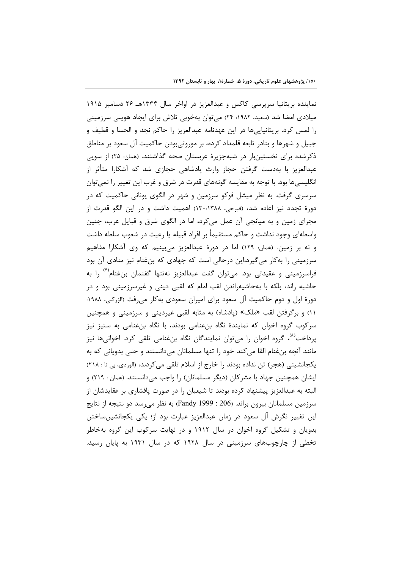نماینده بریتانیا سرپرسی کاکس و عبدالعزیز در اواخر سال ۱۳۳۴هـ ۲۶ دسامبر ۱۹۱۵ میلادی امضا شد (سعید، ۱۹۸۲: ۲۴) میتوان بهخوبی تلاش برای ایجاد هویتی سرزمینی را لمس كرد. بريتانيايي ها در اين عهدنامه عبدالعزيز را حاكم نجد و الحسا و قطيف و جبیل و شهرها و بنادر تابعه قلمداد کرده، بر موروثی،بودن حاکمیت آل سعود بر مناطق ذکرشده برای نخستینبار در شبهجزیرهٔ عربستان صحه گذاشتند. (همان: ۲۵) از سویی عبدالعزیز با بهدست گرفتن حجاز وارث پادشاهی حجازی شد که آشکارا متأثر از انگلیسیها بود. با توجه به مقایسه گونههای قدرت در شرق و غرب این تغییر را نمیتوان سرسری گرفت. به نظر میشل فوکو سرزمین و شهر در الگوی یونانی حاکمیت که در دورهٔ تجدد نیز اعاده شد، (فیرحی، ۱۳۸۸.۱۳۸۸) اهمیت داشت و در این الگو قدرت از مجرای زمین و به میانجی آن عمل میکرد، اما در الگوی شرق و قبایل عرب، چنین واسطهای وجود نداشت و حاکم مستقیماً بر افراد قبیله یا رعیت در شعوب سلطه داشت و نه بر زمین. (همان: ١٢٩) اما در دورهٔ عبدالعزیز می بینیم که وی آشکارا مفاهیم سرزمینی را به کار می گیرد،این درحالی است که جهادی که بنِ غنام نیز منادی آن بود فراسرزمینی و عقیدتی بود. میتوان گفت عبدالعزیز نهتنها گفتمان بنِ غنام''' را به حاشیه راند، بلکه با بهحاشیهراندن لقب امام که لقبی دینی و غیرسرزمینی بود و در دورهٔ اول و دوم حاکمیت آل سعود برای امیران سعودی بهکار میرفت (الزرکلی، ۱۹۸۸: ۱۱) و برگرفتن لقب «ملک» (پادشاه) به مثابه لقبی غیردینی و سرزمینی و همچنین سرکوب گروه اخوان که نمایندهٔ نگاه بنغنامی بودند، با نگاه بنغنامی به ستیز نیز یرداخت<sup>(۸)</sup>، گروه اخوان را میتوان نمایندگان نگاه بنفنامی تلقی کرد. اخوانیها نیز مانند آنچه بنغنام القا می کند خود را تنها مسلمانان میدانستند و حتی بدویانی که به یکجانشینی (هجر) تن نداده بودند را خارج از اسلام تلقی میکردند، (الوردی، بی تا : ۲۱۸) ایشان همچنین جهاد با مشرکان (دیگر مسلمانان) را واجب میدانستند، (همان : ۲۱۹) و البته به عبدالعزیز پیشنهاد کرده بودند تا شیعیان را در صورت پافشاری بر عقایدشان از سرزمین مسلمانان بیرون براند. (206 : Fandy 1999) به نظر می رسد دو نتیجه از نتایج این تغییر نگرش آل سعود در زمان عبدالعزیز عبارت بود از؛ یکی یکجانشینساختن بدویان و تشکیل گروه اخوان در سال ۱۹۱۲ و در نهایت سرکوب این گروه بهخاطر تخطی از چارچوبهای سرزمینی در سال ۱۹۲۸ که در سال ۱۹۳۱ به پایان رسید.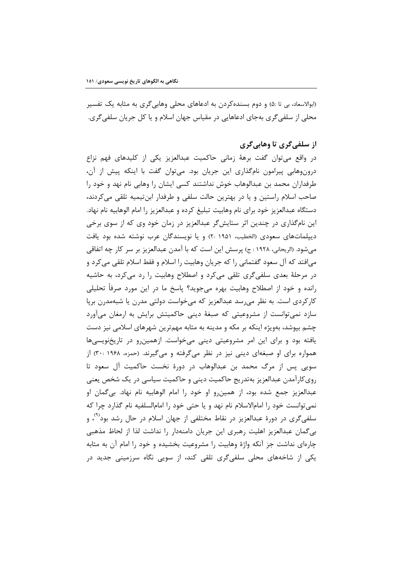(ابوالاسعاد، بی تا :۵) و دوم بسندهکردن به ادعاهای محلی وهابیگری به مثابه یک تفسیر محلي از سلفي گري بهجاي ادعاهايي در مقياس جهان اسلام و يا كل جريان سلفي گري.

## از سلفي گري تا وهاٻي گري

در واقع می توان گفت برههٔ زمانی حاکمیت عبدالعزیز یکی از کلیدهای فهم نزاع درونوهابی پیرامون نامگذاری این جریان بود. میتوان گفت با اینکه پیش از آن، طرفداران محمد بن عبدالوهاب خوش نداشتند كسى ايشان را وهابى نام نهد و خود را صاحب اسلام راستین و یا در بهترین حالت سلفی و طرفدار ابنتیمیه تلقی می کردند، دستگاه عبدالعزیز خود برای نام وهابیت تبلیغ کرده و عبدالعزیز را امام الوهابیه نام نهاد. این نامگذاری در چندین اثر ستایش گر عبدالعزیز در زمان خود وی که از سوی برخی دیپلماتهای سعودی (الخطیب، ۱۹۵۱ :۲) و یا نویسندگان عرب نوشته شده بود یافت می شود. (الریحانی، ۱۹۲۸ : ج) پرسش این است که با آمدن عبدالعزیز بر سر کار چه اتفاقی می|فتد که آل سعود گفتمانی را که جریان وهابیت را اسلام و فقط اسلام تلقی می کرد و در مرحلهٔ بعدی سلفیگری تلقی میکرد و اصطلاح وهابیت را رد میکرد، به حاشیه رانده و خود از اصطلاح وهابیت بهره میجوید؟ پاسخ ما در این مورد صرفاً تحلیلی کارکردی است. به نظر میرسد عبدالعزیز که میخواست دولتی مدرن یا شبهمدرن برپا سازد نمی توانست از مشروعیتی که صبغهٔ دینی حاکمیتش برایش به ارمغان میآورد چشم بپوشد، بهویژه اینکه بر مکه و مدینه به مثابه مهمترین شهرهای اسلامی نیز دست یافته بود و برای این امر مشروعیتی دینی میخواست. ازهمین و در تاریخنویسیها همواره برای او صبغهای دینی نیز در نظر میگرفته و میگیرند. (حمزه، ۱۹۶۸ :۳۰) از سویی پس از مرگ محمد بن عبدالوهاب در دورهٔ نخست حاکمیت آل سعود تا روی کارآمدن عبدالعزیز بهتدریج حاکمیت دینی و حاکمیت سیاسی در یک شخص یعنی عبدالعزیز جمع شده بود، از همین٫رو او خود ٫ا امام الوهابیه نام نهاد. بی گمان او نمي توانست خود را امامالاسلام نام نهد و يا حتى خود را امامالسلفيه نام گذارد چرا كه سلفي گري در دورهٔ عبدالعزيز در نقاط مختلفي از جهان اسلام در حال رشد بود<sup>۲۰)</sup>، و بی گمان عبدالعزیز اهلیت رهبری این جریان دامنهدار را نداشت لذا از لحاظ مذهبی چارهای نداشت جز آنکه واژهٔ وهابیت را مشروعیت بخشیده و خود را امام آن به مثابه یکی از شاخههای محلی سلفیگری تلقی کند، از سویی نگاه سرزمینی جدید در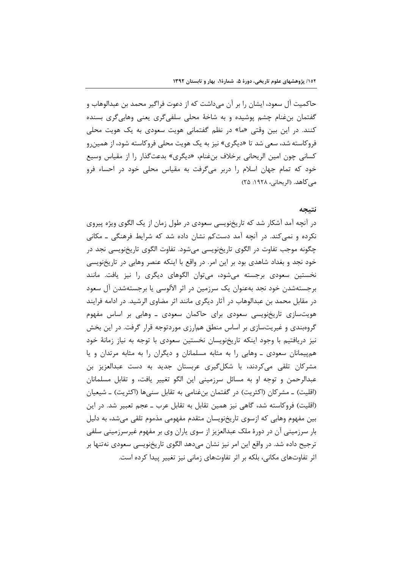حاكميت آل سعود، ايشان را بر آن ميداشت كه از دعوت فراگير محمد بن عبدالوهاب و گفتمان بن غنام چشم پوشیده و به شاخهٔ محلی سلفیگری یعنی وهابیگری بسنده کنند. در این بین وقتی «ما» در نظم گفتمانی هویت سعودی به یک هویت محلی فروکاسته شد، سعی شد تا «دیگری» نیز به یک هویت محلی فروکاسته شود، از همین و كساني چون امين الريحاني برخلاف بن غنام، «ديگري» بدعت گذار را از مقياس وسيع خود که تمام جهان اسلام را دربر میگرفت به مقیاس محلی خود در احساء فرو می کاهد. (الریحانی، ۱۹۲۸: ۲۵)

#### نتبجه

در آنچه آمد آشکار شد که تاریخنویسی سعودی در طول زمان از یک الگوی ویژه پیروی نکرده و نمی کند. در آنچه آمد دستکم نشان داده شد که شرایط فرهنگی ــ مکانی چگونه موجب تفاوت در الگوی تاریخنویسی میشود. تفاوت الگوی تاریخنویسی نجد در خود نجد و بغداد شاهدی بود بر این امر. در واقع با اینکه عنصر وهابی در تاریخنویسی نخستین سعودی برجسته میشود، میتوان الگوهای دیگری را نیز یافت. مانند برجستهشدن خود نجد بهعنوان یک سرزمین در اثر الآلوسی یا برجستهشدن آل سعود در مقابل محمد بن عبدالوهاب در آثار دیگری مانند اثر مضاوی الرشید. در ادامه فرایند هویتسازی تاریخنویسی سعودی برای حاکمان سعودی ــ وهابی بر اساس مفهوم گروهبندی و غیریتسازی بر اساس منطق همارزی موردتوجه قرار گرفت. در این بخش نیز دریافتیم با وجود اینکه تاریخنویسان نخستین سعودی با توجه به نیاز زمانهٔ خود هم پیمانان سعودی ـ وهابی را به مثابه مسلمانان و دیگران را به مثابه مرتدان و یا مشرکان تلقی میکردند، با شکلگیری عربستان جدید به دست عبدالعزیز بن عبدالرحمن و توجه او به مسائل سرزمینی این الگو تغییر یافت، و تقابل مسلمانان (اقلیت) ــ مشركان (اكثریت) در گفتمان بنِ غنامی به تقابل سنیِ ها (اكثریت) ــ شیعیان (اقلیت) فروکاسته شد، گاهی نیز همین تقابل به تقابل عرب ـ عجم تعبیر شد. در این بین مفهوم وهابی که ازسوی تاریخنویسان متقدم مفهومی مذموم تلقی می شد، به دلیل بار سرزمینی آن در دورهٔ ملک عبدالعزیز از سوی پاران وی بر مفهوم غیرسرزمینی سلفی ترجیح داده شد. در واقع این امر نیز نشان میدهد الگوی تاریخنویسی سعودی نهتنها بر اثر تفاوتهای مکانی، بلکه بر اثر تفاوتهای زمانی نیز تغییر پیدا کرده است.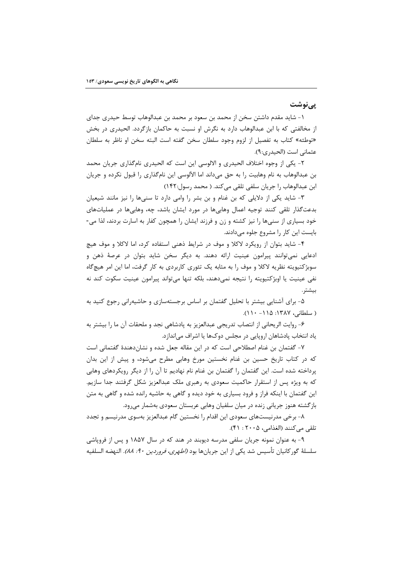<u>یے نوشت</u>

١- شايد مقدم داشتن سخن از محمد بن سعود بر محمد بن عبدالوهاب توسط حيدرى جداى از مخالفتی که با ابن عبدالوهاب دارد به نگرش او نسبت به حاکمان بازگردد. الحیدری در بخش «توطئه» كتاب به تفصيل از لزوم وجود سلطان سخن گفته است البته سخن او ناظر به سلطان عثماني است (الحيد, ي:٩).

٢- يكي از وجوه اختلاف الحيدري و الالوسي اين است كه الحيدري نام5ذاري جريان محمد بن عبدالوهاب به نام وهابیت را به حق میداند اما الآلوسی این نامگذاری را قبول نکرده و جریان ابن عبدالوهاب را جريان سلفي تلقى مى كند. ( محمد رسول:١۴٢)

۳- شاید یکی از دلایلی که بن غنام و بن بشر را وامی دارد تا سنیها را نیز مانند شیعیان بدعتگذار تلقی کنند توجیه اعمال وهابیها در مورد ایشان باشد، چه، وهابیها در عملیاتهای خود بسیاری از سنیها را نیز کشته و زن و فرزند ایشان را همچون کفار به اسارت بردند، لذا می-بایست این کار را مشروع جلوه می دادند.

۴- شاید بتوان از رویکرد لاکلا و موف در شرایط ذهنی استفاده کرد، اما لاکلا و موف هیچ ادعایی نمی توانند پیرامون عینیت ارائه دهند. به دیگر سخن شاید بتوان در عرصهٔ ذهن و سوبژکتیویته نظریه لاکلا و موف را به مثابه یک تئوری کاربردی به کار گرفت، اما این امر هیچگاه نفي عينيت يا اوبژكتيويته ,ا نتيجه نمي,دهند، بلكه تنها مي,تواند پيرامون عينيت سكوت كند نه بيشتر.

۵- برای آشنایی بیشتر با تحلیل گفتمان بر اساس برجستهسازی و حاشیهرانی رجوع کنید به ( سلطانی، ۱۳۸۷: ۱۱۵– ۱۱۰).

۶- روايت الريحاني از انتصاب تدريجي عبدالعزيز به پادشاهي نجد و ملحقات آن ما را بيشتر به یاد انتخاب پادشاهان اروپایی در مجلس دوکها یا اشراف می|ندازد.

٧- گفتمان بن غنام اصطلاحی است که در این مقاله جعل شده و نشاندهندهٔ گفتمانی است که در کتاب تاریخ حسین بن غنام نخستین مورخ وهابی مطرح میشود، و پیش از این بدان پرداخته شده است. این گفتمان را گفتمان بن غنام نام نهادیم تا آن را از دیگر رویکردهای وهابی که به ویژه پس از استقرار حاکمیت سعودی به رهبری ملک عبدالعزیز شکل گرفتند جدا سازیم. این گفتمان با اینکه فراز و فرود بسیاری به خود دیده و گاهی به حاشیه رانده شده و گاهی به متن بازگشته هنوز جریانی زنده در میان سلفیان وهابی عربستان سعودی بهشمار می رود.

۸- برخی مدرنیستهای سعودی این اقدام را نخستین گام عبدالعزیز بهسوی مدرنیسم و تجدد تلقى مى كنند (الغذامى، ٢٠٠۵ : ۴١).

۹- به عنوان نمونه جریان سلفی مدرسه دیوبند در هند که در سال ۱۸۵۷ و پس از فروپاشی سلسلهٔ گورکانیان تأسیس شد یکی از این جریانها بود *(اطهری، فروردین ۹۰: ۸۸).* النهضه السلفیه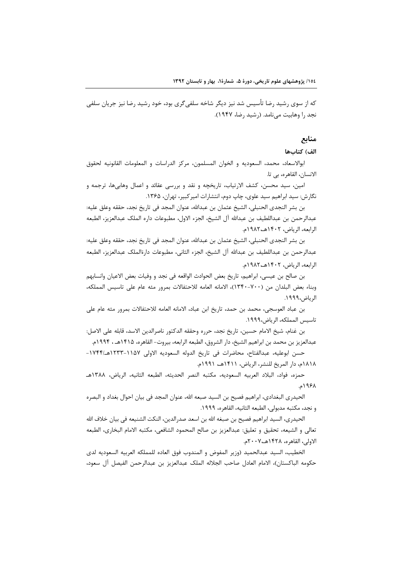که از سوی رشید رضا تأسیس شد نیز دیگر شاخه سلفی گری بود، خود رشید رضا نیز جریان سلفی نجد را وهابيت مى نامد. (رشيد رضا، ١٩۴٧).

### منابع

### الف) كتابها

ابوالاسعاد، محمد، السعوديه و الخوان المسلمون، مركز الدراسات و المعلومات القانونيه لحقوق الانسان، القاهره، بي تا.

امين، سيد محسن، كشف الارتياب، تاريخچه و نقد و بررسي عقائد و اعمال وهابيها، ترجمه و نگارش: سید ابراهیم سید علوی، چاپ دوم، انتشارات امیر کبیر، تهران، ۱۳۶۵.

بن بشر النجدي الحنبلي، الشيخ عثمان بن عبدالله، عنوان المجد في تاريخ نجد، حققه وعلق عليه: عبدالرحمن بن عبداللطيف بن عبدالله آل الشيخ، الجزء الاول، مطبوعات داره الملك عبدالعزيز، الطبعه الرابعه، الرياض، ١۴٠٢هـ١٩٨٢م.

بن بشر النجدي الحنبلي، الشيخ عثمان بن عبدالله، عنوان المجد في تاريخ نجد، حققه وعلق عليه: عبدالرحمن بن عبداللطيف بن عبدالله آل الشيخ، الجزء الثاني، مطبوعات دارةالملك عبدالعزيز، الطبعه الرابعه، الرياض، ١۴٠٢هـ،١٩٨٢م.

بن صالح بن عيسى، ابراهيم، تاريخ بعض الحوادث الواقعه في نجد و وفيات بعض الاعيان وانسابهم وبناء بعض البلدان من (٧٠٠-١٣۴٠)، الامانه العامه للاحتفالات بمرور مئه عام على تاسيس المملكه، الرياض،١٩٩٩.

بن عباد العوسجي، محمد بن حمد، تاريخ ابن عباد، الامانه العامه للاحتفالات بمرور مئه عام على تاسيس المملكه، الرياض،١٩٩٩.

بن غنام، شيخ الامام حسين، تاريخ نجد، حرره وحققه الدكتور ناصرالدين الاسد، قابله على الاصل: عبدالعزيز بن محمد بن ابراهيم الشيخ، دار الشروق، الطبعه الرابعه، بيروت– القاهره، ١۴١۵هـ ، ١٩٩۴م.

حسن ابوعليه، عبدالفتاح، محاضرات في تاريخ الدوله السعوديه الاولى ١١٥٧-١٢٣٣هـ/١٧۴۴-١٨١٨م، دار المريخ للنشر، الرياض، ١۴١١هـ، ١٩٩١م.

حمزه، فواد، البلاد العربيه السعوديه، مكتبه النصر الحديثه، الطبعه الثانيه، الرياض، ١٣٨٨هـ ۱۹۶۸م.

الحيدري البغدادي، ابراهيم فصيح بن السيد صبعه الله، عنوان المجد في بيان احوال بغداد و البصره و نجد، مكتبه مدبولي، الطبعه الثانيه، القاهره، ١٩٩٩.

الحيدري، السيد ابراهيم فصيح بن صبغه الله بن اسعد صدرالدين، النكت الشنيعه في بيان خلاف الله تعالى و الشيعه، تحقيق و تعليق: عبدالعزيز بن صالح المحمود الشافعي، مكتبه الامام البخاري، الطبعه الاولى، القاهره، ١٤٢٨هـ،٢٠٠٧م.

الخطيب، السيد عبدالحميد (وزير المفوض و المندوب فوق العاده للمملكه العربيه السعوديه لدى حكومه الباكستان)، الامام العادل صاحب الجلاله الملك عبدالعزيز بن عبدالرحمن الفيصل آل سعود،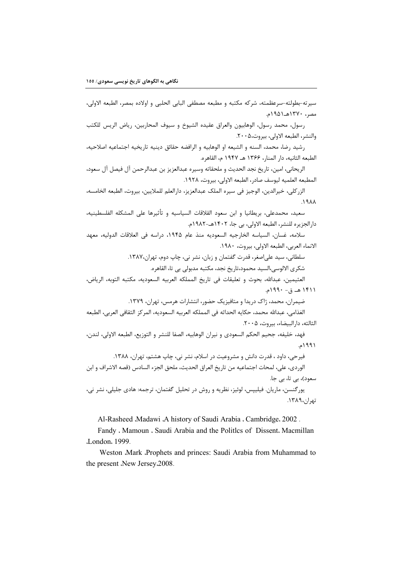سيرته-بطولته-سرعظمته، شركه مكتبه و مطبعه مصطفى البابي الحلبي و اولاده بمصر، الطبعه الاولى، مصر، ۱۳۷۰هـ۱۹۵۱م.

رسول، محمد رسول، الوهابيون والعراق عقيده الشيوخ و سيوف المحاربين، رياض الريس للكتب والنشر، الطبعه الاولى، بيروت،٢٠٠۵.

رشيد رضا، محمد، السنه و الشيعه او الوهابيه و الرافضه حقائق دينيه تاريخيه اجتماعيه اصلاحيه، الطبعه الثانيه، دار المنار، ۱۳۶۶ هـ ۱۹۴۷ م، القاهره.

الريحاني، امين، تاريخ نجد الحديث و ملحقاته وسيره عبدالعزيز بن عبدالرحمن آل فيصل آل سعود، المطبعه العلميه ليوسف صادر، الطبعه الاولى، بيروت، ١٩٢٨.

الزركلي، خيرالدين، الوجيز في سيره الملك عبدالعزيز، دارالعلم للملايين، بيروت، الطبعه الخامسه،  $\lambda$ 

سعيد، محمدعلي، بريطانيا و ابن سعود القلاقات السياسيه و تأثيرها على المشكله الفلسطينيه، دارالجزيره للنشر، الطبعه الاولى، بي جا، ١٤٠٢هـ-١٩٨٢م.

سلامه، غسان، السياسه الخارجيه السعوديه منذ عام ١٩۴۵، دراسه في العلاقات الدوليه، معهد الانماء العربي، الطبعه الاولى، بيروت، ١٩٨٠.

سلطاني، سيد علي اصغر، قدرت گفتمان و زبان، نشر ني، چاپ دوم، تهران،١٣٨٧.

شكرى الالوسى،السيد محمود،تاريخ نجد، مكتبه مدبولي بي تا، القاهره.

العثيمين، عبدالله، بحوث و تعليقات في تاريخ المملكه العربيه السعوديه، مكتبه التوبه، الرياض، ۱۴۱۱ هـ ق- ۱۹۹۰م.

ضیمران، محمد، ژاک دریدا و متافیزیک حضور، انتشارات هرمس، تهران، ۱۳۷۹.

الغذامي، عبدالله محمد، حكايه الحداثه في المملكه العربيه السعوديه، المركز الثقافي العربي، الطبعه الثالثه، دارالبيضاء، بيروت، ٢٠٠۵.

فهد، خليفه، جحيم الحكم السعودي و نيران الوهابيه، الصفا للنشر و التوزيع، الطبعه الاولى، لندن، ۱۹۹۱م.

فیرحی، داود ، قدرت دانش و مشروعیت در اسلام، نشر نی، چاپ هشتم، تهران، ۱۳۸۸. الوردي، علي، لمحات اجتماعيه من تاريخ العراق الحديث، ملحق الجزء السادس (قصه الاشراف و ابن سعود)، بے تا، بے جا.

يورگنسن، ماريان. فيليپس، لوئيز، نظريه و روش در تحليل گفتمان، ترجمه: هادي جليلي، نشر ني، تهران،١٣٨٩.

Al-Rasheed Madawi A history of Saudi Arabia . Cambridge. 2002.

Fandy , Mamoun , Saudi Arabia and the Politlcs of Dissent. Macmillan .London. 1999.

Weston .Mark .Prophets and princes: Saudi Arabia from Muhammad to the present .New Jersey.2008.